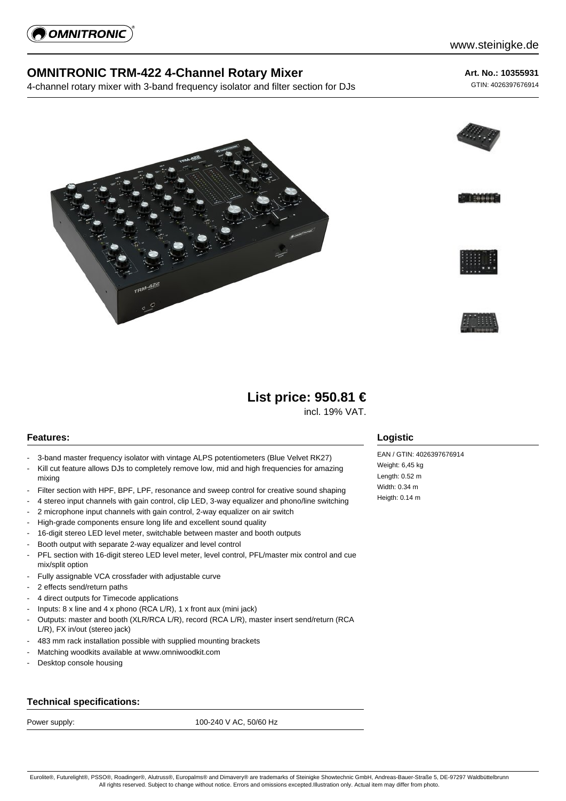

## **OMNITRONIC TRM-422 4-Channel Rotary Mixer**

4-channel rotary mixer with 3-band frequency isolator and filter section for DJs

## **Art. No.: 10355931**

GTIN: 4026397676914







# **List price: 950.81 €**

incl. 19% VAT.

### **Features:**

- 3-band master frequency isolator with vintage ALPS potentiometers (Blue Velvet RK27)
- Kill cut feature allows DJs to completely remove low, mid and high frequencies for amazing mixing
- Filter section with HPF, BPF, LPF, resonance and sweep control for creative sound shaping
- 4 stereo input channels with gain control, clip LED, 3-way equalizer and phono/line switching
- 2 microphone input channels with gain control, 2-way equalizer on air switch
- High-grade components ensure long life and excellent sound quality
- 16-digit stereo LED level meter, switchable between master and booth outputs
- Booth output with separate 2-way equalizer and level control
- PFL section with 16-digit stereo LED level meter, level control, PFL/master mix control and cue mix/split option
- Fully assignable VCA crossfader with adjustable curve
- 2 effects send/return paths
- 4 direct outputs for Timecode applications
- Inputs: 8 x line and 4 x phono (RCA L/R), 1 x front aux (mini jack)
- Outputs: master and booth (XLR/RCA L/R), record (RCA L/R), master insert send/return (RCA L/R), FX in/out (stereo jack)
- 483 mm rack installation possible with supplied mounting brackets
- Matching woodkits available at www.omniwoodkit.com
- Desktop console housing

#### **Technical specifications:**

Power supply: 100-240 V AC, 50/60 Hz

### **Logistic**

EAN / GTIN: 4026397676914 Weight: 6,45 kg Length: 0.52 m Width: 0.34 m Heigth: 0.14 m

Eurolite®, Futurelight®, PSSO®, Roadinger®, Alutruss®, Europalms® and Dimavery® are trademarks of Steinigke Showtechnic GmbH, Andreas-Bauer-Straße 5, DE-97297 Waldbüttelbrunn All rights reserved. Subject to change without notice. Errors and omissions excepted.Illustration only. Actual item may differ from photo.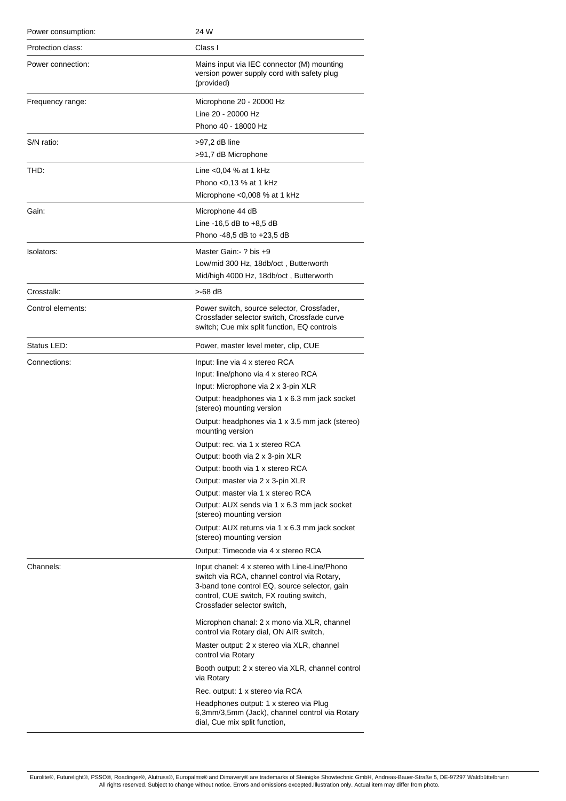| Power consumption: | 24 W                                                                                                                                                                                                                    |
|--------------------|-------------------------------------------------------------------------------------------------------------------------------------------------------------------------------------------------------------------------|
| Protection class:  | Class I                                                                                                                                                                                                                 |
| Power connection:  | Mains input via IEC connector (M) mounting<br>version power supply cord with safety plug<br>(provided)                                                                                                                  |
| Frequency range:   | Microphone 20 - 20000 Hz                                                                                                                                                                                                |
|                    | Line 20 - 20000 Hz                                                                                                                                                                                                      |
|                    | Phono 40 - 18000 Hz                                                                                                                                                                                                     |
| S/N ratio:         | >97,2 dB line                                                                                                                                                                                                           |
|                    | >91,7 dB Microphone                                                                                                                                                                                                     |
| THD:               | Line $<$ 0,04 % at 1 kHz                                                                                                                                                                                                |
|                    | Phono <0,13 % at 1 kHz                                                                                                                                                                                                  |
|                    | Microphone <0,008 % at 1 kHz                                                                                                                                                                                            |
| Gain:              | Microphone 44 dB                                                                                                                                                                                                        |
|                    | Line -16,5 dB to $+8,5$ dB                                                                                                                                                                                              |
|                    | Phono -48,5 dB to +23,5 dB                                                                                                                                                                                              |
| Isolators:         | Master Gain: - ? bis +9                                                                                                                                                                                                 |
|                    | Low/mid 300 Hz, 18db/oct, Butterworth                                                                                                                                                                                   |
|                    | Mid/high 4000 Hz, 18db/oct, Butterworth                                                                                                                                                                                 |
| Crosstalk:         | >-68 dB                                                                                                                                                                                                                 |
| Control elements:  | Power switch, source selector, Crossfader,<br>Crossfader selector switch, Crossfade curve<br>switch; Cue mix split function, EQ controls                                                                                |
| Status LED:        | Power, master level meter, clip, CUE                                                                                                                                                                                    |
| Connections:       | Input: line via 4 x stereo RCA                                                                                                                                                                                          |
|                    | Input: line/phono via 4 x stereo RCA                                                                                                                                                                                    |
|                    | Input: Microphone via 2 x 3-pin XLR                                                                                                                                                                                     |
|                    | Output: headphones via 1 x 6.3 mm jack socket<br>(stereo) mounting version                                                                                                                                              |
|                    | Output: headphones via 1 x 3.5 mm jack (stereo)<br>mounting version                                                                                                                                                     |
|                    | Output: rec. via 1 x stereo RCA                                                                                                                                                                                         |
|                    | Output: booth via 2 x 3-pin XLR                                                                                                                                                                                         |
|                    | Output: booth via 1 x stereo RCA                                                                                                                                                                                        |
|                    | Output: master via 2 x 3-pin XLR                                                                                                                                                                                        |
|                    | Output: master via 1 x stereo RCA<br>Output: AUX sends via 1 x 6.3 mm jack socket                                                                                                                                       |
|                    | (stereo) mounting version                                                                                                                                                                                               |
|                    | Output: AUX returns via 1 x 6.3 mm jack socket<br>(stereo) mounting version                                                                                                                                             |
|                    | Output: Timecode via 4 x stereo RCA                                                                                                                                                                                     |
| Channels:          | Input chanel: 4 x stereo with Line-Line/Phono<br>switch via RCA, channel control via Rotary,<br>3-band tone control EQ, source selector, gain<br>control, CUE switch, FX routing switch,<br>Crossfader selector switch, |
|                    | Microphon chanal: 2 x mono via XLR, channel<br>control via Rotary dial, ON AIR switch,                                                                                                                                  |
|                    | Master output: 2 x stereo via XLR, channel<br>control via Rotary                                                                                                                                                        |
|                    | Booth output: 2 x stereo via XLR, channel control<br>via Rotary                                                                                                                                                         |
|                    | Rec. output: 1 x stereo via RCA                                                                                                                                                                                         |
|                    | Headphones output: 1 x stereo via Plug<br>6,3mm/3,5mm (Jack), channel control via Rotary<br>dial, Cue mix split function,                                                                                               |